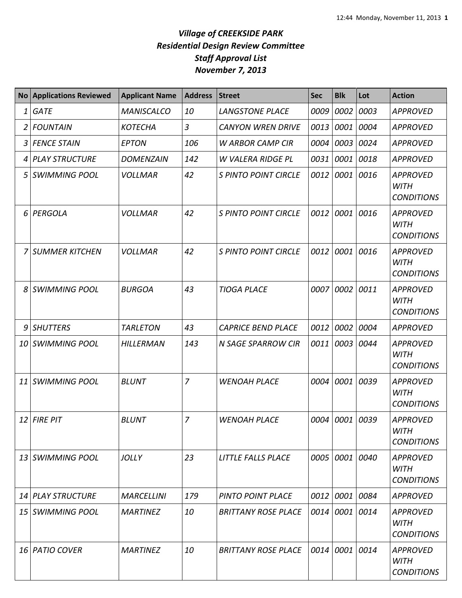|    | <b>No Applications Reviewed</b> | <b>Applicant Name</b> | <b>Address</b> | <b>Street</b>               | <b>Sec</b> | <b>Blk</b>     | Lot       | <b>Action</b>                                       |
|----|---------------------------------|-----------------------|----------------|-----------------------------|------------|----------------|-----------|-----------------------------------------------------|
| 1  | <b>GATE</b>                     | <b>MANISCALCO</b>     | 10             | <b>LANGSTONE PLACE</b>      | 0009       | 0002           | 0003      | <b>APPROVED</b>                                     |
| 2  | <b>FOUNTAIN</b>                 | <b>KOTECHA</b>        | $\overline{3}$ | <b>CANYON WREN DRIVE</b>    | 0013       | 0001           | 0004      | <b>APPROVED</b>                                     |
| 3  | <b>FENCE STAIN</b>              | <b>EPTON</b>          | 106            | <b>W ARBOR CAMP CIR</b>     | 0004       |                | 0003 0024 | <b>APPROVED</b>                                     |
| 4  | PLAY STRUCTURE                  | <b>DOMENZAIN</b>      | 142            | W VALERA RIDGE PL           | 0031       |                | 0001 0018 | <b>APPROVED</b>                                     |
| 5  | SWIMMING POOL                   | <b>VOLLMAR</b>        | 42             | <b>S PINTO POINT CIRCLE</b> | 0012       | 0001 0016      |           | <b>APPROVED</b><br><b>WITH</b><br><b>CONDITIONS</b> |
|    | 6 PERGOLA                       | <b>VOLLMAR</b>        | 42             | <b>S PINTO POINT CIRCLE</b> | 0012       |                | 0001 0016 | <b>APPROVED</b><br><b>WITH</b><br><b>CONDITIONS</b> |
|    | SUMMER KITCHEN                  | <b>VOLLMAR</b>        | 42             | <b>S PINTO POINT CIRCLE</b> | 0012       |                | 0001 0016 | <b>APPROVED</b><br><b>WITH</b><br><b>CONDITIONS</b> |
| 8  | <b>SWIMMING POOL</b>            | <b>BURGOA</b>         | 43             | <b>TIOGA PLACE</b>          | 0007       | 0002 0011      |           | <b>APPROVED</b><br><b>WITH</b><br><b>CONDITIONS</b> |
| 9  | SHUTTERS                        | <b>TARLETON</b>       | 43             | <b>CAPRICE BEND PLACE</b>   | 0012       | 0002           | 0004      | <b>APPROVED</b>                                     |
|    | 10 SWIMMING POOL                | HILLERMAN             | 143            | N SAGE SPARROW CIR          | 0011       | 0003           | 0044      | <b>APPROVED</b><br><b>WITH</b><br><b>CONDITIONS</b> |
| 11 | <b>SWIMMING POOL</b>            | <b>BLUNT</b>          | $\overline{7}$ | <b>WENOAH PLACE</b>         | 0004       | 0001 0039      |           | <b>APPROVED</b><br><b>WITH</b><br><b>CONDITIONS</b> |
|    | 12 FIRE PIT                     | <b>BLUNT</b>          | $\overline{7}$ | <b>WENOAH PLACE</b>         | 0004       | 0001 0039      |           | <b>APPROVED</b><br><b>WITH</b><br><b>CONDITIONS</b> |
|    | 13 SWIMMING POOL                | <b>JOLLY</b>          | 23             | LITTLE FALLS PLACE          |            | 0005 0001 0040 |           | <b>APPROVED</b><br><b>WITH</b><br><b>CONDITIONS</b> |
|    | 14 PLAY STRUCTURE               | <b>MARCELLINI</b>     | 179            | <b>PINTO POINT PLACE</b>    | 0012       |                | 0001 0084 | <b>APPROVED</b>                                     |
|    | 15 SWIMMING POOL                | <b>MARTINEZ</b>       | 10             | <b>BRITTANY ROSE PLACE</b>  | 0014       | 0001 0014      |           | <b>APPROVED</b><br><b>WITH</b><br><b>CONDITIONS</b> |
|    | 16 PATIO COVER                  | <b>MARTINEZ</b>       | 10             | <b>BRITTANY ROSE PLACE</b>  | 0014       | 0001 0014      |           | <b>APPROVED</b><br>WITH<br><b>CONDITIONS</b>        |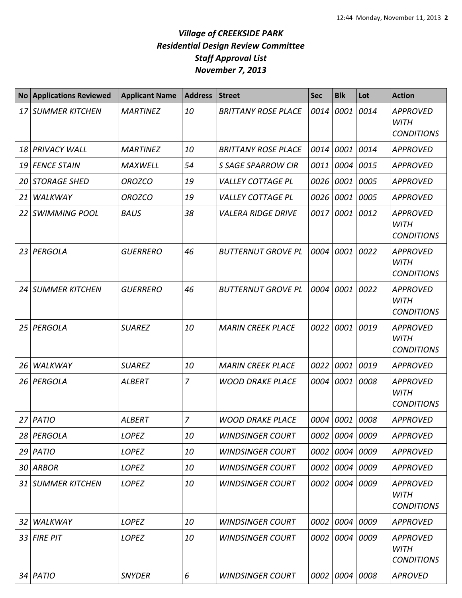| No.  | <b>Applications Reviewed</b> | <b>Applicant Name</b> | <b>Address</b> | <b>Street</b>              | <b>Sec</b> | <b>Blk</b>     | Lot  | <b>Action</b>                                       |
|------|------------------------------|-----------------------|----------------|----------------------------|------------|----------------|------|-----------------------------------------------------|
|      | 17 SUMMER KITCHEN            | <b>MARTINEZ</b>       | 10             | <b>BRITTANY ROSE PLACE</b> | 0014       | 0001           | 0014 | <b>APPROVED</b><br><b>WITH</b><br><b>CONDITIONS</b> |
| 18 I | <b>PRIVACY WALL</b>          | <b>MARTINEZ</b>       | 10             | <b>BRITTANY ROSE PLACE</b> | 0014       | 0001           | 0014 | <b>APPROVED</b>                                     |
|      | 19 FENCE STAIN               | <b>MAXWELL</b>        | 54             | <b>S SAGE SPARROW CIR</b>  | 0011       | 0004           | 0015 | <b>APPROVED</b>                                     |
| 20   | <b>STORAGE SHED</b>          | <b>OROZCO</b>         | 19             | <b>VALLEY COTTAGE PL</b>   | 0026       | 0001           | 0005 | <b>APPROVED</b>                                     |
| 21   | <b>WALKWAY</b>               | <b>OROZCO</b>         | 19             | <b>VALLEY COTTAGE PL</b>   | 0026       | 0001           | 0005 | <b>APPROVED</b>                                     |
| 221  | <b>SWIMMING POOL</b>         | <b>BAUS</b>           | 38             | <b>VALERA RIDGE DRIVE</b>  | 0017       | 0001           | 0012 | <b>APPROVED</b><br><b>WITH</b><br><b>CONDITIONS</b> |
|      | 23 PERGOLA                   | <b>GUERRERO</b>       | 46             | <b>BUTTERNUT GROVE PL</b>  | 0004       | 0001           | 0022 | <b>APPROVED</b><br><b>WITH</b><br><b>CONDITIONS</b> |
|      | 24 SUMMER KITCHEN            | <b>GUERRERO</b>       | 46             | <b>BUTTERNUT GROVE PL</b>  | 0004       | 0001           | 0022 | <b>APPROVED</b><br><b>WITH</b><br><b>CONDITIONS</b> |
| 25 I | PERGOLA                      | <b>SUAREZ</b>         | 10             | <b>MARIN CREEK PLACE</b>   | 0022       | 0001           | 0019 | <b>APPROVED</b><br><b>WITH</b><br><b>CONDITIONS</b> |
| 26   | <b>WALKWAY</b>               | <b>SUAREZ</b>         | 10             | <b>MARIN CREEK PLACE</b>   | 0022       | 0001           | 0019 | <b>APPROVED</b>                                     |
|      | 26 PERGOLA                   | <b>ALBERT</b>         | $\overline{z}$ | <b>WOOD DRAKE PLACE</b>    | 0004       | 0001           | 0008 | <b>APPROVED</b><br><b>WITH</b><br><b>CONDITIONS</b> |
|      | 27 PATIO                     | <b>ALBERT</b>         | 7              | <b>WOOD DRAKE PLACE</b>    |            | 0004 0001      | 0008 | <b>APPROVED</b>                                     |
|      | 28 PERGOLA                   | LOPEZ                 | 10             | <b>WINDSINGER COURT</b>    |            | 0002 0004 0009 |      | <b>APPROVED</b>                                     |
|      | $29$ PATIO                   | LOPEZ                 | 10             | <b>WINDSINGER COURT</b>    | 0002       | 0004 0009      |      | <b>APPROVED</b>                                     |
|      | 30 ARBOR                     | <b>LOPEZ</b>          | 10             | <b>WINDSINGER COURT</b>    |            | 0002 0004 0009 |      | <b>APPROVED</b>                                     |
|      | 31 SUMMER KITCHEN            | LOPEZ                 | 10             | <b>WINDSINGER COURT</b>    |            | 0002 0004 0009 |      | <b>APPROVED</b><br><b>WITH</b><br><b>CONDITIONS</b> |
| 32   | WALKWAY                      | LOPEZ                 | 10             | <b>WINDSINGER COURT</b>    | 0002       | 0004 0009      |      | <b>APPROVED</b>                                     |
|      | 33 FIRE PIT                  | LOPEZ                 | 10             | <b>WINDSINGER COURT</b>    | 0002       | 0004           | 0009 | <b>APPROVED</b><br><b>WITH</b><br><b>CONDITIONS</b> |
|      | $34$ PATIO                   | <b>SNYDER</b>         | 6              | <b>WINDSINGER COURT</b>    |            | 0002 0004 0008 |      | <b>APROVED</b>                                      |

L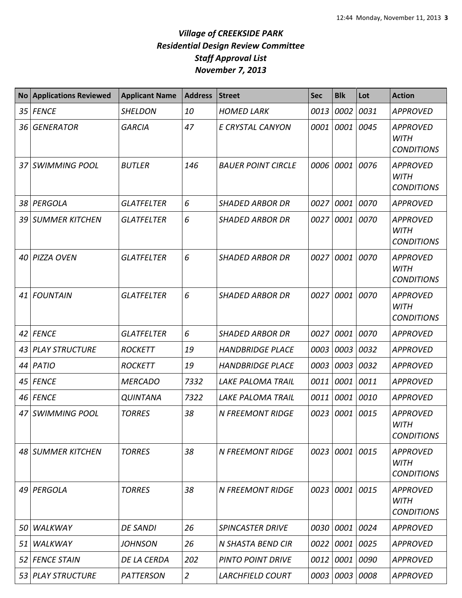| <b>No</b> | <b>Applications Reviewed</b> | <b>Applicant Name</b> | <b>Address</b> | <b>Street</b>             | <b>Sec</b> | <b>Blk</b> | Lot  | <b>Action</b>                                       |
|-----------|------------------------------|-----------------------|----------------|---------------------------|------------|------------|------|-----------------------------------------------------|
| 35        | <b>FENCE</b>                 | <b>SHELDON</b>        | 10             | <b>HOMED LARK</b>         | 0013       | 0002       | 0031 | <b>APPROVED</b>                                     |
| 36        | <b>GENERATOR</b>             | <b>GARCIA</b>         | 47             | E CRYSTAL CANYON          | 0001       | 0001       | 0045 | <b>APPROVED</b><br><b>WITH</b><br><b>CONDITIONS</b> |
| 37        | <b>SWIMMING POOL</b>         | <b>BUTLER</b>         | 146            | <b>BAUER POINT CIRCLE</b> | 0006       | 0001       | 0076 | <b>APPROVED</b><br><b>WITH</b><br><b>CONDITIONS</b> |
| 38        | PERGOLA                      | <b>GLATFELTER</b>     | 6              | <b>SHADED ARBOR DR</b>    | 0027       | 0001       | 0070 | <b>APPROVED</b>                                     |
| 39        | <b>SUMMER KITCHEN</b>        | <b>GLATFELTER</b>     | 6              | <b>SHADED ARBOR DR</b>    | 0027       | 0001       | 0070 | <b>APPROVED</b><br><b>WITH</b><br><b>CONDITIONS</b> |
| 40        | <b>PIZZA OVEN</b>            | <b>GLATFELTER</b>     | 6              | <b>SHADED ARBOR DR</b>    | 0027       | 0001       | 0070 | <b>APPROVED</b><br><b>WITH</b><br><b>CONDITIONS</b> |
| 41        | <b>FOUNTAIN</b>              | <b>GLATFELTER</b>     | 6              | <b>SHADED ARBOR DR</b>    | 0027       | 0001       | 0070 | <b>APPROVED</b><br><b>WITH</b><br><b>CONDITIONS</b> |
| 42        | <b>FENCE</b>                 | <b>GLATFELTER</b>     | 6              | <b>SHADED ARBOR DR</b>    | 0027       | 0001       | 0070 | <b>APPROVED</b>                                     |
| 43        | <b>PLAY STRUCTURE</b>        | <b>ROCKETT</b>        | 19             | <b>HANDBRIDGE PLACE</b>   | 0003       | 0003       | 0032 | <b>APPROVED</b>                                     |
| 44        | <b>PATIO</b>                 | <b>ROCKETT</b>        | 19             | <b>HANDBRIDGE PLACE</b>   | 0003       | 0003       | 0032 | <b>APPROVED</b>                                     |
| 45        | <b>FENCE</b>                 | <b>MERCADO</b>        | 7332           | <b>LAKE PALOMA TRAIL</b>  | 0011       | 0001       | 0011 | <b>APPROVED</b>                                     |
| 46        | <b>FENCE</b>                 | <b>QUINTANA</b>       | 7322           | <b>LAKE PALOMA TRAIL</b>  | 0011       | 0001       | 0010 | <b>APPROVED</b>                                     |
| 47        | <b>SWIMMING POOL</b>         | <b>TORRES</b>         | 38             | <b>N FREEMONT RIDGE</b>   | 0023       | 0001       | 0015 | <b>APPROVED</b><br><b>WITH</b><br><b>CONDITIONS</b> |
|           | 48 SUMMER KITCHEN            | <b>TORRES</b>         | 38             | <b>N FREEMONT RIDGE</b>   | 0023       | 0001 0015  |      | <b>APPROVED</b><br><b>WITH</b><br><b>CONDITIONS</b> |
| 49        | PERGOLA                      | <b>TORRES</b>         | 38             | <b>N FREEMONT RIDGE</b>   | 0023       | 0001       | 0015 | <b>APPROVED</b><br><b>WITH</b><br><b>CONDITIONS</b> |
| 50        | WALKWAY                      | <b>DE SANDI</b>       | 26             | <b>SPINCASTER DRIVE</b>   | 0030       | 0001       | 0024 | <b>APPROVED</b>                                     |
| 51        | WALKWAY                      | <b>JOHNSON</b>        | 26             | N SHASTA BEND CIR         | 0022       | 0001       | 0025 | <b>APPROVED</b>                                     |
| 52        | <b>FENCE STAIN</b>           | DE LA CERDA           | 202            | <b>PINTO POINT DRIVE</b>  | 0012       | 0001 0090  |      | <b>APPROVED</b>                                     |
| 53        | <b>PLAY STRUCTURE</b>        | <b>PATTERSON</b>      | $\overline{a}$ | <b>LARCHFIELD COURT</b>   | 0003       | 0003 0008  |      | <b>APPROVED</b>                                     |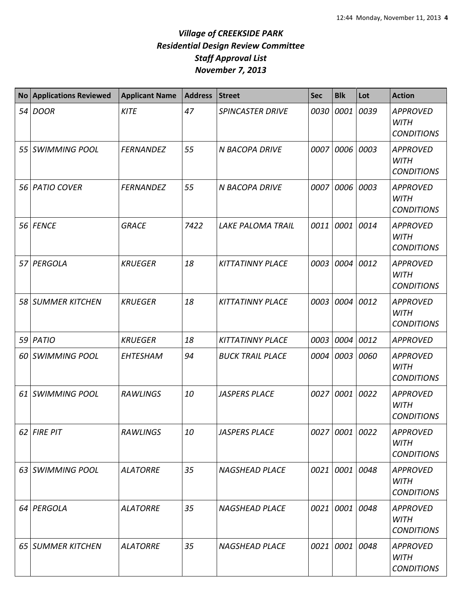|      | No Applications Reviewed | <b>Applicant Name</b> | <b>Address</b> | Street                   | <b>Sec</b> | <b>Blk</b>     | Lot  | <b>Action</b>                                       |
|------|--------------------------|-----------------------|----------------|--------------------------|------------|----------------|------|-----------------------------------------------------|
|      | 54 DOOR                  | <b>KITE</b>           | 47             | <b>SPINCASTER DRIVE</b>  | 0030       | 0001           | 0039 | <b>APPROVED</b><br><b>WITH</b><br><b>CONDITIONS</b> |
|      | 55 SWIMMING POOL         | <b>FERNANDEZ</b>      | 55             | <b>N BACOPA DRIVE</b>    | 0007       | 0006 0003      |      | <b>APPROVED</b><br><b>WITH</b><br><b>CONDITIONS</b> |
| 56 I | <b>PATIO COVER</b>       | <b>FERNANDEZ</b>      | 55             | <b>N BACOPA DRIVE</b>    | 0007       | 0006 0003      |      | <b>APPROVED</b><br><b>WITH</b><br><b>CONDITIONS</b> |
| 56   | <b>FENCE</b>             | <b>GRACE</b>          | 7422           | <b>LAKE PALOMA TRAIL</b> | 0011       | 0001           | 0014 | <b>APPROVED</b><br><b>WITH</b><br><b>CONDITIONS</b> |
| 57   | PERGOLA                  | <b>KRUEGER</b>        | 18             | <b>KITTATINNY PLACE</b>  | 0003       | 0004           | 0012 | <b>APPROVED</b><br><b>WITH</b><br><b>CONDITIONS</b> |
| 58   | <b>SUMMER KITCHEN</b>    | <b>KRUEGER</b>        | 18             | <b>KITTATINNY PLACE</b>  | 0003       | 0004           | 0012 | <b>APPROVED</b><br><b>WITH</b><br><b>CONDITIONS</b> |
|      | $59$ PATIO               | <b>KRUEGER</b>        | 18             | <b>KITTATINNY PLACE</b>  | 0003       | 0004           | 0012 | <b>APPROVED</b>                                     |
| 60 I | <b>SWIMMING POOL</b>     | <b>EHTESHAM</b>       | 94             | <b>BUCK TRAIL PLACE</b>  | 0004       | 0003           | 0060 | <b>APPROVED</b><br><b>WITH</b><br><b>CONDITIONS</b> |
| 61 I | <b>SWIMMING POOL</b>     | <b>RAWLINGS</b>       | 10             | <b>JASPERS PLACE</b>     | 0027       | 0001 0022      |      | <b>APPROVED</b><br><b>WITH</b><br><b>CONDITIONS</b> |
|      | 62 FIRE PIT              | RAWLINGS              | 10             | <b>JASPERS PLACE</b>     |            | 0027 0001 0022 |      | <b>APPROVED</b><br><b>WITH</b><br><b>CONDITIONS</b> |
|      | 63 SWIMMING POOL         | <b>ALATORRE</b>       | 35             | <b>NAGSHEAD PLACE</b>    |            | 0021 0001 0048 |      | <b>APPROVED</b><br>WITH<br><b>CONDITIONS</b>        |
|      | 64 PERGOLA               | <b>ALATORRE</b>       | 35             | <b>NAGSHEAD PLACE</b>    |            | 0021 0001 0048 |      | <b>APPROVED</b><br>WITH<br><b>CONDITIONS</b>        |
|      | 65 SUMMER KITCHEN        | <b>ALATORRE</b>       | 35             | <b>NAGSHEAD PLACE</b>    | 0021       | 0001 0048      |      | <b>APPROVED</b><br><b>WITH</b><br><b>CONDITIONS</b> |